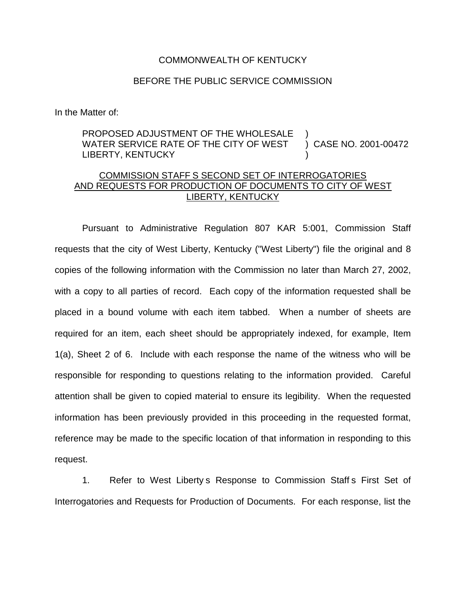## COMMONWEALTH OF KENTUCKY

## BEFORE THE PUBLIC SERVICE COMMISSION

In the Matter of:

## PROPOSED ADJUSTMENT OF THE WHOLESALE WATER SERVICE RATE OF THE CITY OF WEST LIBERTY, KENTUCKY ) ) CASE NO. 2001-00472 )

## COMMISSION STAFF S SECOND SET OF INTERROGATORIES AND REQUESTS FOR PRODUCTION OF DOCUMENTS TO CITY OF WEST LIBERTY, KENTUCKY

Pursuant to Administrative Regulation 807 KAR 5:001, Commission Staff requests that the city of West Liberty, Kentucky ("West Liberty") file the original and 8 copies of the following information with the Commission no later than March 27, 2002, with a copy to all parties of record. Each copy of the information requested shall be placed in a bound volume with each item tabbed. When a number of sheets are required for an item, each sheet should be appropriately indexed, for example, Item 1(a), Sheet 2 of 6. Include with each response the name of the witness who will be responsible for responding to questions relating to the information provided. Careful attention shall be given to copied material to ensure its legibility. When the requested information has been previously provided in this proceeding in the requested format, reference may be made to the specific location of that information in responding to this request.

1. Refer to West Liberty s Response to Commission Staff s First Set of Interrogatories and Requests for Production of Documents. For each response, list the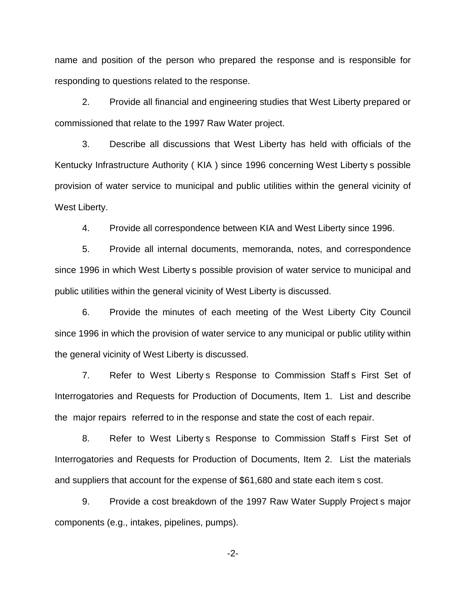name and position of the person who prepared the response and is responsible for responding to questions related to the response.

2. Provide all financial and engineering studies that West Liberty prepared or commissioned that relate to the 1997 Raw Water project.

3. Describe all discussions that West Liberty has held with officials of the Kentucky Infrastructure Authority ( KIA ) since 1996 concerning West Liberty s possible provision of water service to municipal and public utilities within the general vicinity of West Liberty.

4. Provide all correspondence between KIA and West Liberty since 1996.

5. Provide all internal documents, memoranda, notes, and correspondence since 1996 in which West Liberty s possible provision of water service to municipal and public utilities within the general vicinity of West Liberty is discussed.

6. Provide the minutes of each meeting of the West Liberty City Council since 1996 in which the provision of water service to any municipal or public utility within the general vicinity of West Liberty is discussed.

7. Refer to West Liberty s Response to Commission Staff s First Set of Interrogatories and Requests for Production of Documents, Item 1. List and describe the major repairs referred to in the response and state the cost of each repair.

8. Refer to West Liberty s Response to Commission Staff s First Set of Interrogatories and Requests for Production of Documents, Item 2. List the materials and suppliers that account for the expense of \$61,680 and state each item s cost.

9. Provide a cost breakdown of the 1997 Raw Water Supply Project s major components (e.g., intakes, pipelines, pumps).

-2-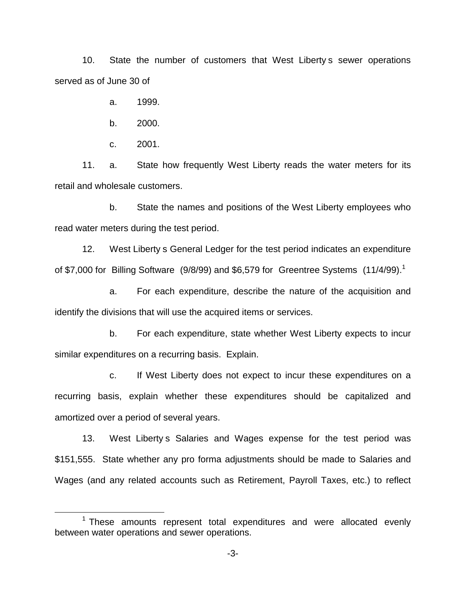10. State the number of customers that West Liberty s sewer operations served as of June 30 of

a. 1999.

b. 2000.

c. 2001.

11. a. State how frequently West Liberty reads the water meters for its retail and wholesale customers.

b. State the names and positions of the West Liberty employees who read water meters during the test period.

12. West Liberty s General Ledger for the test period indicates an expenditure of \$7,000 for Billing Software  $(9/8/99)$  and \$6,579 for Greentree Systems  $(11/4/99).$ <sup>1</sup>

a. For each expenditure, describe the nature of the acquisition and identify the divisions that will use the acquired items or services.

b. For each expenditure, state whether West Liberty expects to incur similar expenditures on a recurring basis. Explain.

c. If West Liberty does not expect to incur these expenditures on a recurring basis, explain whether these expenditures should be capitalized and amortized over a period of several years.

13. West Liberty s Salaries and Wages expense for the test period was \$151,555. State whether any pro forma adjustments should be made to Salaries and Wages (and any related accounts such as Retirement, Payroll Taxes, etc.) to reflect

 $1$  These amounts represent total expenditures and were allocated evenly between water operations and sewer operations.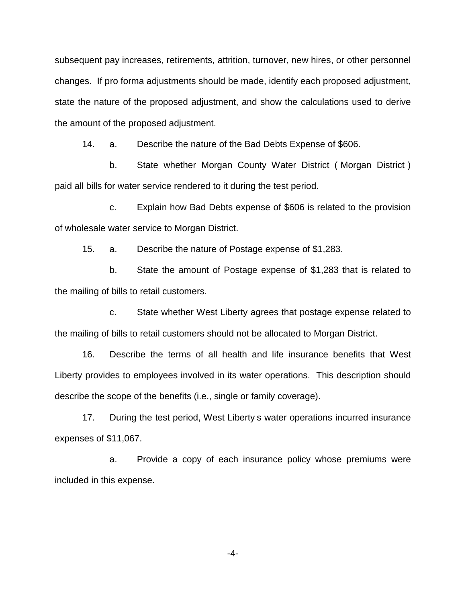subsequent pay increases, retirements, attrition, turnover, new hires, or other personnel changes. If pro forma adjustments should be made, identify each proposed adjustment, state the nature of the proposed adjustment, and show the calculations used to derive the amount of the proposed adjustment.

14. a. Describe the nature of the Bad Debts Expense of \$606.

b. State whether Morgan County Water District ( Morgan District ) paid all bills for water service rendered to it during the test period.

c. Explain how Bad Debts expense of \$606 is related to the provision of wholesale water service to Morgan District.

15. a. Describe the nature of Postage expense of \$1,283.

b. State the amount of Postage expense of \$1,283 that is related to the mailing of bills to retail customers.

c. State whether West Liberty agrees that postage expense related to the mailing of bills to retail customers should not be allocated to Morgan District.

16. Describe the terms of all health and life insurance benefits that West Liberty provides to employees involved in its water operations. This description should describe the scope of the benefits (i.e., single or family coverage).

17. During the test period, West Liberty s water operations incurred insurance expenses of \$11,067.

a. Provide a copy of each insurance policy whose premiums were included in this expense.

-4-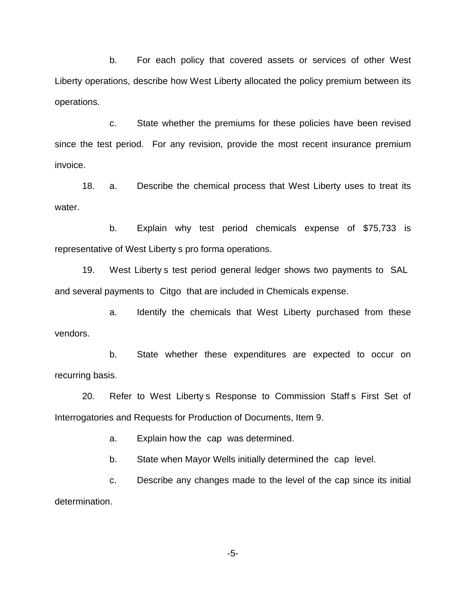b. For each policy that covered assets or services of other West Liberty operations, describe how West Liberty allocated the policy premium between its operations.

c. State whether the premiums for these policies have been revised since the test period. For any revision, provide the most recent insurance premium invoice.

18. a. Describe the chemical process that West Liberty uses to treat its water.

b. Explain why test period chemicals expense of \$75,733 is representative of West Liberty s pro forma operations.

19. West Liberty s test period general ledger shows two payments to SAL and several payments to Citgo that are included in Chemicals expense.

a. Identify the chemicals that West Liberty purchased from these vendors.

b. State whether these expenditures are expected to occur on recurring basis.

20. Refer to West Liberty s Response to Commission Staff s First Set of Interrogatories and Requests for Production of Documents, Item 9.

a. Explain how the cap was determined.

b. State when Mayor Wells initially determined the cap level.

c. Describe any changes made to the level of the cap since its initial determination.

-5-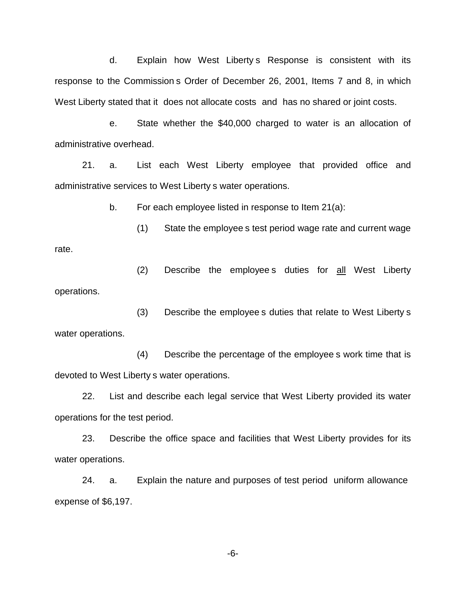d. Explain how West Liberty s Response is consistent with its response to the Commission s Order of December 26, 2001, Items 7 and 8, in which West Liberty stated that it does not allocate costs and has no shared or joint costs.

e. State whether the \$40,000 charged to water is an allocation of administrative overhead.

21. a. List each West Liberty employee that provided office and administrative services to West Liberty s water operations.

b. For each employee listed in response to Item 21(a):

(1) State the employee s test period wage rate and current wage rate.

(2) Describe the employee s duties for all West Liberty operations.

(3) Describe the employee s duties that relate to West Liberty s water operations.

(4) Describe the percentage of the employee s work time that is devoted to West Liberty s water operations.

22. List and describe each legal service that West Liberty provided its water operations for the test period.

23. Describe the office space and facilities that West Liberty provides for its water operations.

24. a. Explain the nature and purposes of test period uniform allowance expense of \$6,197.

-6-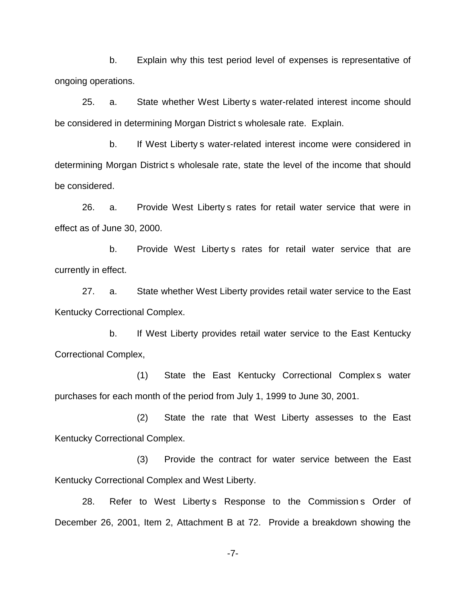b. Explain why this test period level of expenses is representative of ongoing operations.

25. a. State whether West Liberty s water-related interest income should be considered in determining Morgan District s wholesale rate. Explain.

b. If West Liberty s water-related interest income were considered in determining Morgan District s wholesale rate, state the level of the income that should be considered.

26. a. Provide West Liberty s rates for retail water service that were in effect as of June 30, 2000.

b. Provide West Liberty s rates for retail water service that are currently in effect.

27. a. State whether West Liberty provides retail water service to the East Kentucky Correctional Complex.

b. If West Liberty provides retail water service to the East Kentucky Correctional Complex,

(1) State the East Kentucky Correctional Complex s water purchases for each month of the period from July 1, 1999 to June 30, 2001.

(2) State the rate that West Liberty assesses to the East Kentucky Correctional Complex.

(3) Provide the contract for water service between the East Kentucky Correctional Complex and West Liberty.

28. Refer to West Liberty s Response to the Commission s Order of December 26, 2001, Item 2, Attachment B at 72. Provide a breakdown showing the

-7-